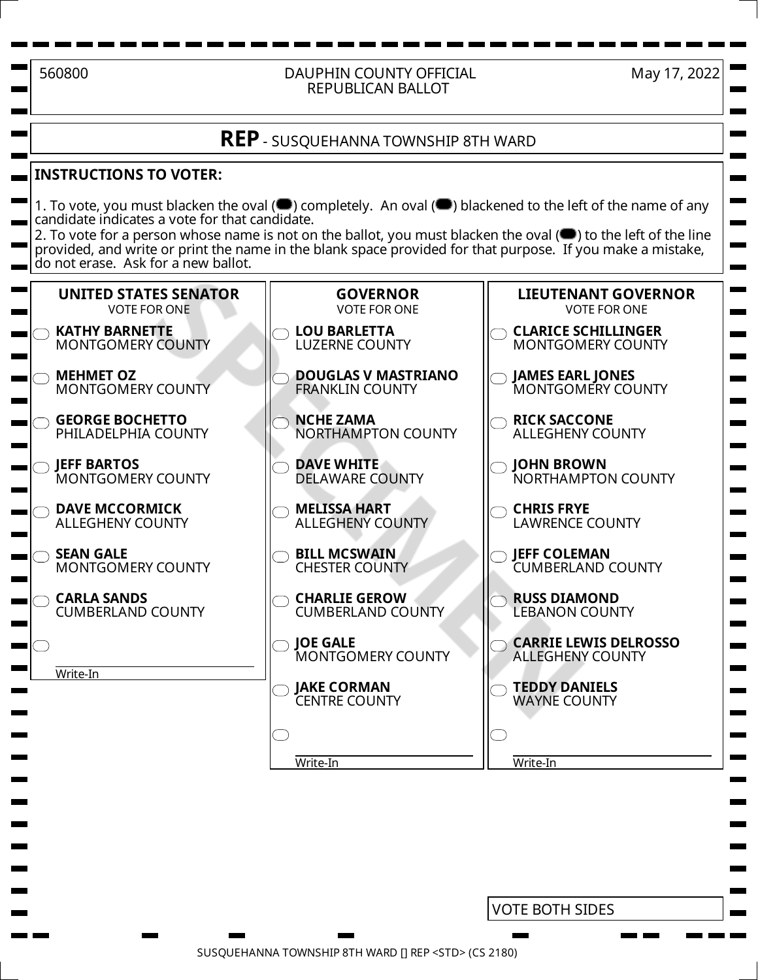## 560800 DAUPHIN COUNTY OFFICIAL REPUBLICAN BALLOT

May 17, 2022

## **REP**- SUSQUEHANNA TOWNSHIP 8TH WARD

## **INSTRUCTIONS TO VOTER:**

1. To vote, you must blacken the oval ( $\blacksquare$ ) completely. An oval ( $\blacksquare$ ) blackened to the left of the name of any candidate indicates a vote for that candidate.

2. To vote for a person whose name is not on the ballot, you must blacken the oval ( $\blacksquare$ ) to the left of the line provided, and write or print the name in the blank space provided for that purpose. If you make a mistake, do not erase. Ask for a new ballot.



VOTE BOTH SIDES